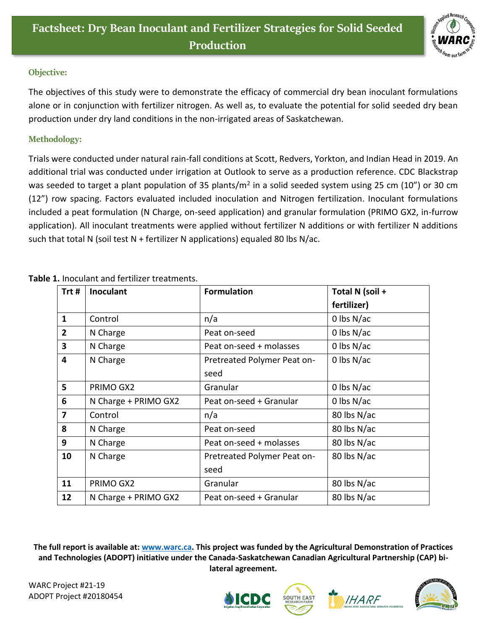

## **Objective:**

The objectives of this study were to demonstrate the efficacy of commercial dry bean inoculant formulations alone or in conjunction with fertilizer nitrogen. As well as, to evaluate the potential for solid seeded dry bean production under dry land conditions in the non-irrigated areas of Saskatchewan.

## **Methodology:**

Trials were conducted under natural rain-fall conditions at Scott, Redvers, Yorkton, and Indian Head in 2019. An additional trial was conducted under irrigation at Outlook to serve as a production reference. CDC Blackstrap was seeded to target a plant population of 35 plants/m<sup>2</sup> in a solid seeded system using 25 cm (10") or 30 cm (12") row spacing. Factors evaluated included inoculation and Nitrogen fertilization. Inoculant formulations included a peat formulation (N Charge, on-seed application) and granular formulation (PRIMO GX2, in-furrow application). All inoculant treatments were applied without fertilizer N additions or with fertilizer N additions such that total N (soil test  $N$  + fertilizer N applications) equaled 80 lbs N/ac.

| Trt#           | <b>Inoculant</b>     | <b>Formulation</b>          | Total N (soil + |
|----------------|----------------------|-----------------------------|-----------------|
|                |                      |                             | fertilizer)     |
| $\mathbf{1}$   | Control              | n/a                         | 0 lbs $N/ac$    |
| $\overline{2}$ | N Charge             | Peat on-seed                | $0$ lbs $N/ac$  |
| 3              | N Charge             | Peat on-seed + molasses     | 0 lbs $N/ac$    |
| 4              | N Charge             | Pretreated Polymer Peat on- | 0 lbs $N/ac$    |
|                |                      | seed                        |                 |
| 5              | PRIMO GX2            | Granular                    | $0$ lbs N/ac    |
| 6              | N Charge + PRIMO GX2 | Peat on-seed + Granular     | $0$ lbs N/ac    |
| $\overline{7}$ | Control              | n/a                         | 80 lbs N/ac     |
| 8              | N Charge             | Peat on-seed                | 80 lbs N/ac     |
| 9              | N Charge             | Peat on-seed + molasses     | 80 lbs N/ac     |
| 10             | N Charge             | Pretreated Polymer Peat on- | 80 lbs N/ac     |
|                |                      | seed                        |                 |
| 11             | PRIMO GX2            | Granular                    | 80 lbs N/ac     |
| 12             | N Charge + PRIMO GX2 | Peat on-seed + Granular     | 80 lbs N/ac     |

**Table 1.** Inoculant and fertilizer treatments.

**The full report is available at: [www.warc.ca.](http://www.warc.ca/) This project was funded by the Agricultural Demonstration of Practices and Technologies (ADOPT) initiative under the Canada-Saskatchewan Canadian Agricultural Partnership (CAP) bilateral agreement.**

WARC Project #21-19 ADOPT Project #20180454